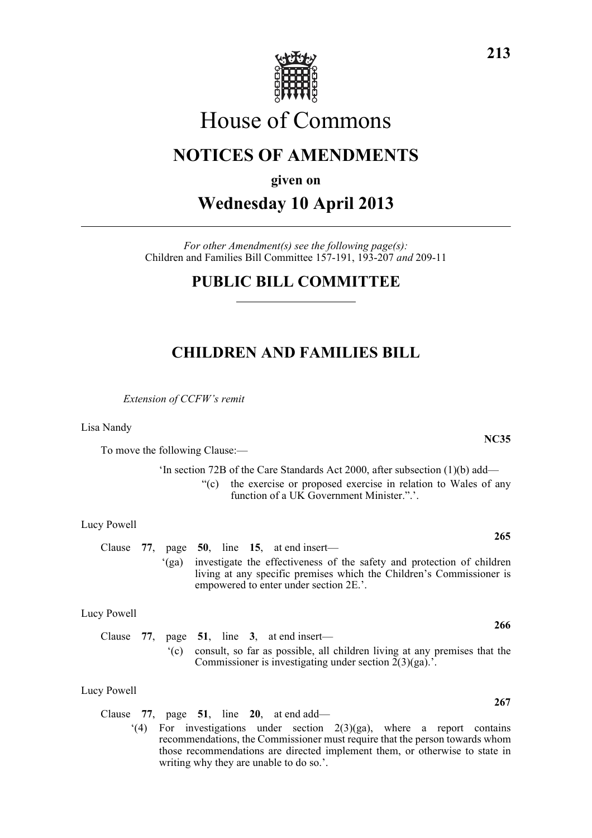

# House of Commons

## **NOTICES OF AMENDMENTS**

**given on**

**Wednesday 10 April 2013**

*For other Amendment(s) see the following page(s):* Children and Families Bill Committee 157-191, 193-207 *and* 209-11

## **PUBLIC BILL COMMITTEE**

## **CHILDREN AND FAMILIES BILL**

*Extension of CCFW's remit*

Lisa Nandy

To move the following Clause:—

'In section 72B of the Care Standards Act 2000, after subsection (1)(b) add— "(c) the exercise or proposed exercise in relation to Wales of any function of a UK Government Minister.".'.

Lucy Powell

Clause **77**, page **50**, line **15**, at end insert— '(ga) investigate the effectiveness of the safety and protection of children living at any specific premises which the Children's Commissioner is empowered to enter under section 2E.'.

#### Lucy Powell

Clause **77**, page **51**, line **3**, at end insert— '(c) consult, so far as possible, all children living at any premises that the Commissioner is investigating under section  $2(3)(ga)$ .

#### Lucy Powell

- Clause **77**, page **51**, line **20**, at end add—
	- $(4)$  For investigations under section  $2(3)(ga)$ , where a report contains recommendations, the Commissioner must require that the person towards whom those recommendations are directed implement them, or otherwise to state in writing why they are unable to do so.'.

**265**

**NC35**

**266**

**267**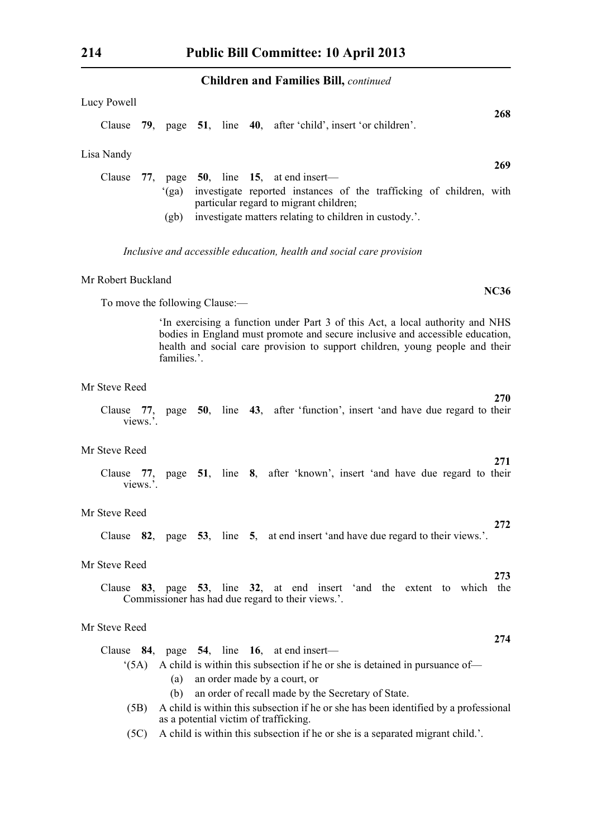#### **Children and Families Bill,** *continued*

| Children and Families Bill, <i>continued</i>                                                                                                                                                                                                                  |
|---------------------------------------------------------------------------------------------------------------------------------------------------------------------------------------------------------------------------------------------------------------|
| Lucy Powell                                                                                                                                                                                                                                                   |
| 268<br>Clause 79, page 51, line 40, after 'child', insert 'or children'.                                                                                                                                                                                      |
| Lisa Nandy                                                                                                                                                                                                                                                    |
| <b>269</b><br>Clause<br>77, page 50, line 15, at end insert—                                                                                                                                                                                                  |
| investigate reported instances of the trafficking of children, with<br>(ga)<br>particular regard to migrant children;                                                                                                                                         |
| (gb)<br>investigate matters relating to children in custody.'.                                                                                                                                                                                                |
| Inclusive and accessible education, health and social care provision                                                                                                                                                                                          |
| Mr Robert Buckland<br><b>NC36</b>                                                                                                                                                                                                                             |
| To move the following Clause:-                                                                                                                                                                                                                                |
| 'In exercising a function under Part 3 of this Act, a local authority and NHS<br>bodies in England must promote and secure inclusive and accessible education,<br>health and social care provision to support children, young people and their<br>families.'. |
| Mr Steve Reed<br><b>270</b>                                                                                                                                                                                                                                   |
| Clause 77, page 50, line 43, after 'function', insert 'and have due regard to their<br>views.'.                                                                                                                                                               |
| Mr Steve Reed                                                                                                                                                                                                                                                 |
| 271<br>Clause 77, page 51, line 8, after 'known', insert 'and have due regard to their<br>views.'.                                                                                                                                                            |
| Mr Steve Reed                                                                                                                                                                                                                                                 |
| 272<br>Clause 82, page 53, line 5, at end insert 'and have due regard to their views.'.                                                                                                                                                                       |
| Mr Steve Reed                                                                                                                                                                                                                                                 |
| 273<br>Clause 83, page 53, line 32, at end insert 'and the extent to which the<br>Commissioner has had due regard to their views.'.                                                                                                                           |
| Mr Steve Reed                                                                                                                                                                                                                                                 |
| 274<br>Clause $84$ , page $54$ , line 16, at end insert—                                                                                                                                                                                                      |
| A child is within this subsection if he or she is detained in pursuance of—<br>(5A)<br>an order made by a court, or<br>(a)                                                                                                                                    |
| an order of recall made by the Secretary of State.<br>(b)                                                                                                                                                                                                     |

- (5B) A child is within this subsection if he or she has been identified by a professional as a potential victim of trafficking.
- (5C) A child is within this subsection if he or she is a separated migrant child.'.